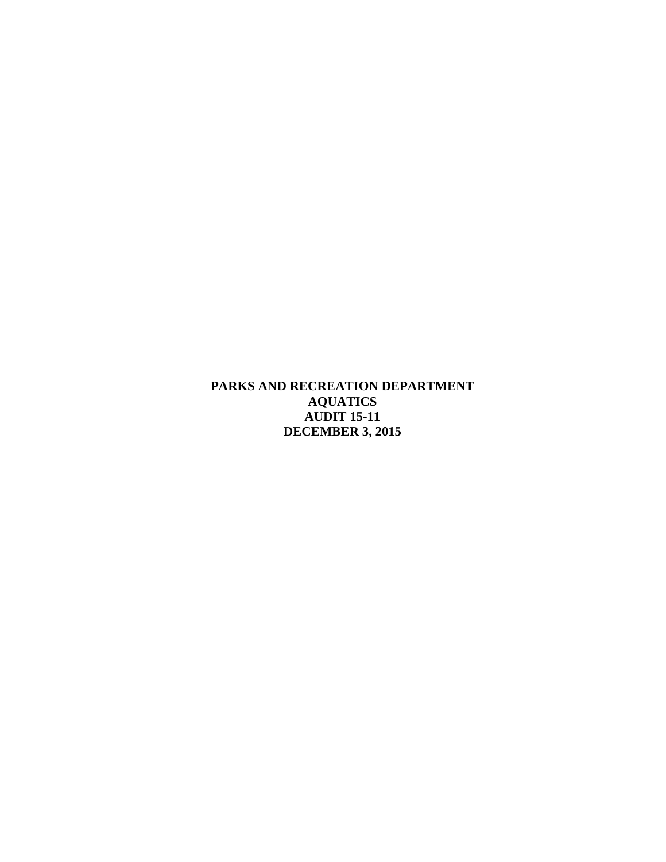**PARKS AND RECREATION DEPARTMENT AQUATICS AUDIT 15-11 DECEMBER 3, 2015**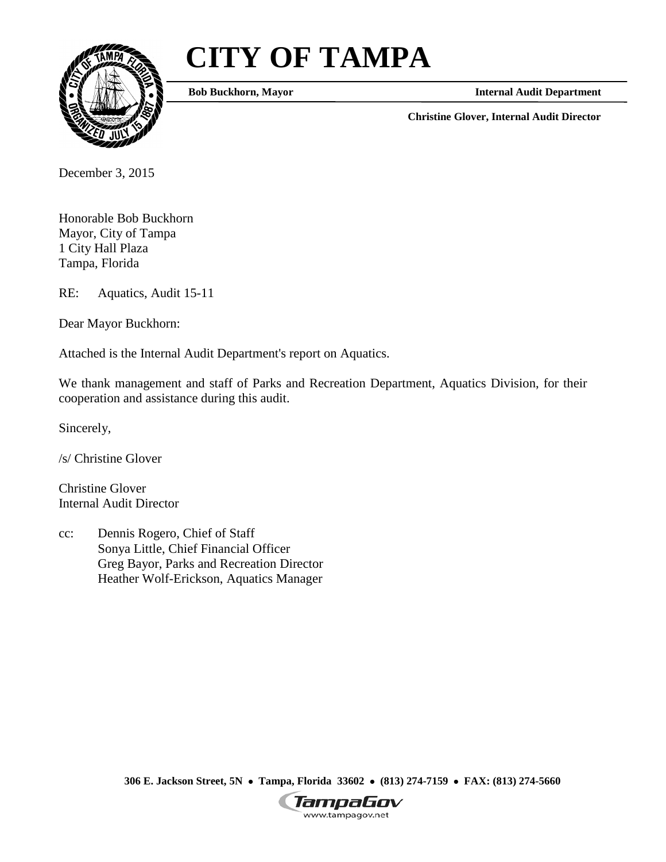# **CITY OF TAMPA**



**Bob Buckhorn, Mayor**

**Internal Audit Department**

**Christine Glover, Internal Audit Director**

December 3, 2015

Honorable Bob Buckhorn Mayor, City of Tampa 1 City Hall Plaza Tampa, Florida

RE: Aquatics, Audit 15-11

Dear Mayor Buckhorn:

Attached is the Internal Audit Department's report on Aquatics.

We thank management and staff of Parks and Recreation Department, Aquatics Division, for their cooperation and assistance during this audit.

Sincerely,

/s/ Christine Glover

Christine Glover Internal Audit Director

cc: Dennis Rogero, Chief of Staff Sonya Little, Chief Financial Officer Greg Bayor, Parks and Recreation Director Heather Wolf-Erickson, Aquatics Manager

**306 E. Jackson Street, 5N** • **Tampa, Florida 33602** • **(813) 274-7159** • **FAX: (813) 274-5660**

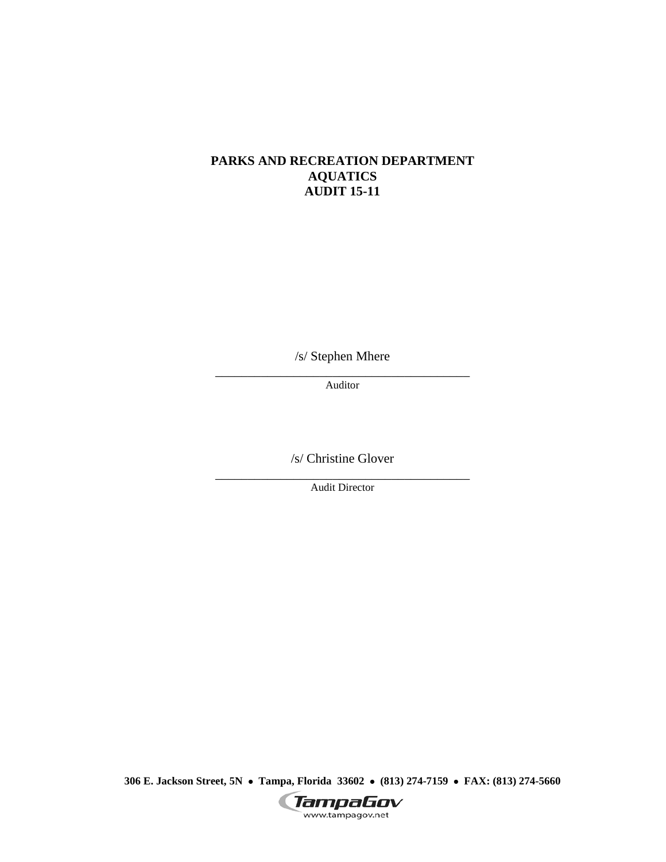## **PARKS AND RECREATION DEPARTMENT AQUATICS AUDIT 15-11**

/s/ Stephen Mhere

\_\_\_\_\_\_\_\_\_\_\_\_\_\_\_\_\_\_\_\_\_\_\_\_\_\_\_\_\_\_\_\_\_\_\_\_\_\_\_ Auditor

/s/ Christine Glover

\_\_\_\_\_\_\_\_\_\_\_\_\_\_\_\_\_\_\_\_\_\_\_\_\_\_\_\_\_\_\_\_\_\_\_\_\_\_\_ Audit Director

**306 E. Jackson Street, 5N** • **Tampa, Florida 33602** • **(813) 274-7159** • **FAX: (813) 274-5660**

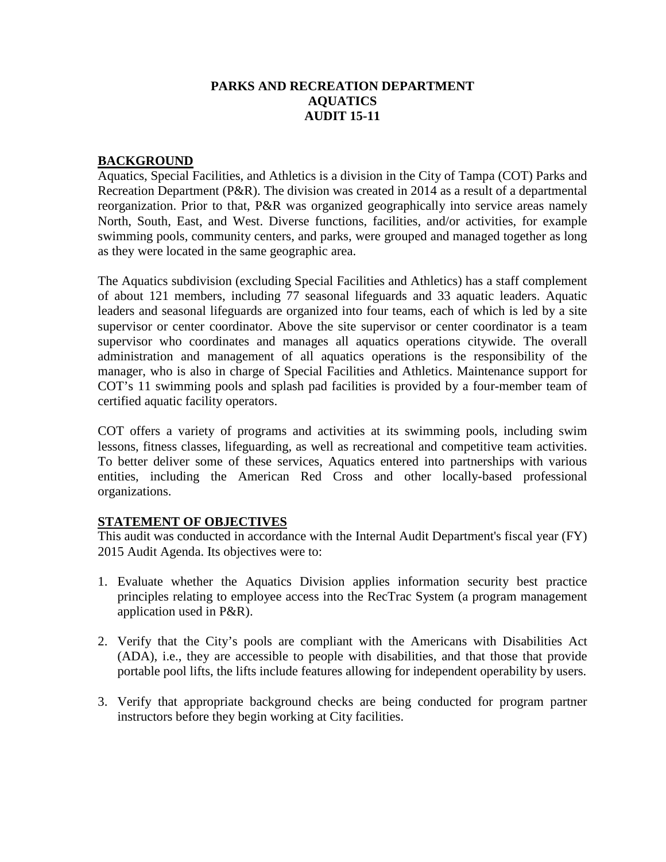## **PARKS AND RECREATION DEPARTMENT AQUATICS AUDIT 15-11**

#### **BACKGROUND**

Aquatics, Special Facilities, and Athletics is a division in the City of Tampa (COT) Parks and Recreation Department (P&R). The division was created in 2014 as a result of a departmental reorganization. Prior to that, P&R was organized geographically into service areas namely North, South, East, and West. Diverse functions, facilities, and/or activities, for example swimming pools, community centers, and parks, were grouped and managed together as long as they were located in the same geographic area.

The Aquatics subdivision (excluding Special Facilities and Athletics) has a staff complement of about 121 members, including 77 seasonal lifeguards and 33 aquatic leaders. Aquatic leaders and seasonal lifeguards are organized into four teams, each of which is led by a site supervisor or center coordinator. Above the site supervisor or center coordinator is a team supervisor who coordinates and manages all aquatics operations citywide. The overall administration and management of all aquatics operations is the responsibility of the manager, who is also in charge of Special Facilities and Athletics. Maintenance support for COT's 11 swimming pools and splash pad facilities is provided by a four-member team of certified aquatic facility operators.

COT offers a variety of programs and activities at its swimming pools, including swim lessons, fitness classes, lifeguarding, as well as recreational and competitive team activities. To better deliver some of these services, Aquatics entered into partnerships with various entities, including the American Red Cross and other locally-based professional organizations.

# **STATEMENT OF OBJECTIVES**

This audit was conducted in accordance with the Internal Audit Department's fiscal year (FY) 2015 Audit Agenda. Its objectives were to:

- 1. Evaluate whether the Aquatics Division applies information security best practice principles relating to employee access into the RecTrac System (a program management application used in P&R).
- 2. Verify that the City's pools are compliant with the Americans with Disabilities Act (ADA), i.e., they are accessible to people with disabilities, and that those that provide portable pool lifts, the lifts include features allowing for independent operability by users.
- 3. Verify that appropriate background checks are being conducted for program partner instructors before they begin working at City facilities.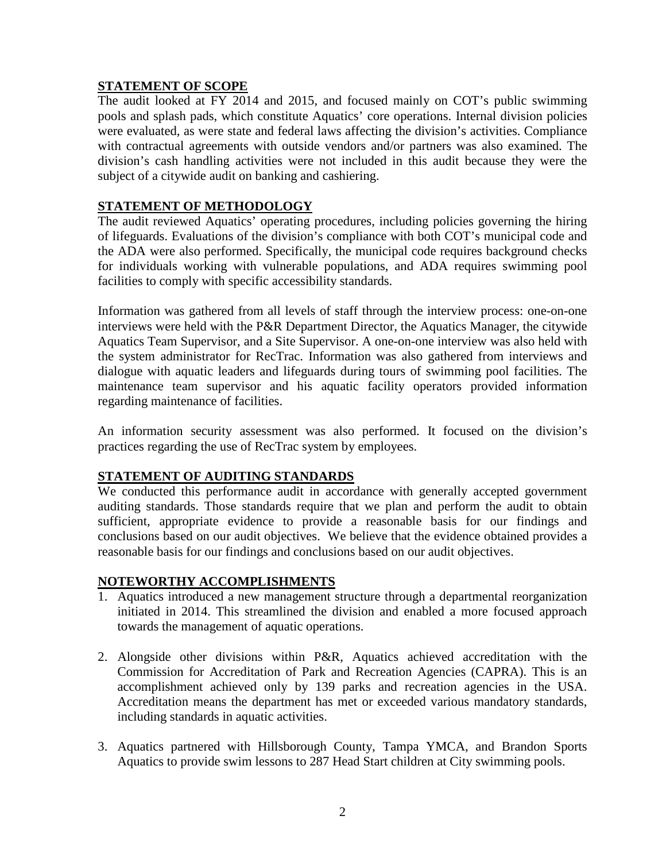#### **STATEMENT OF SCOPE**

The audit looked at FY 2014 and 2015, and focused mainly on COT's public swimming pools and splash pads, which constitute Aquatics' core operations. Internal division policies were evaluated, as were state and federal laws affecting the division's activities. Compliance with contractual agreements with outside vendors and/or partners was also examined. The division's cash handling activities were not included in this audit because they were the subject of a citywide audit on banking and cashiering.

# **STATEMENT OF METHODOLOGY**

The audit reviewed Aquatics' operating procedures, including policies governing the hiring of lifeguards. Evaluations of the division's compliance with both COT's municipal code and the ADA were also performed. Specifically, the municipal code requires background checks for individuals working with vulnerable populations, and ADA requires swimming pool facilities to comply with specific accessibility standards.

Information was gathered from all levels of staff through the interview process: one-on-one interviews were held with the P&R Department Director, the Aquatics Manager, the citywide Aquatics Team Supervisor, and a Site Supervisor. A one-on-one interview was also held with the system administrator for RecTrac. Information was also gathered from interviews and dialogue with aquatic leaders and lifeguards during tours of swimming pool facilities. The maintenance team supervisor and his aquatic facility operators provided information regarding maintenance of facilities.

An information security assessment was also performed. It focused on the division's practices regarding the use of RecTrac system by employees.

#### **STATEMENT OF AUDITING STANDARDS**

We conducted this performance audit in accordance with generally accepted government auditing standards. Those standards require that we plan and perform the audit to obtain sufficient, appropriate evidence to provide a reasonable basis for our findings and conclusions based on our audit objectives. We believe that the evidence obtained provides a reasonable basis for our findings and conclusions based on our audit objectives.

#### **NOTEWORTHY ACCOMPLISHMENTS**

- 1. Aquatics introduced a new management structure through a departmental reorganization initiated in 2014. This streamlined the division and enabled a more focused approach towards the management of aquatic operations.
- 2. Alongside other divisions within P&R, Aquatics achieved accreditation with the Commission for Accreditation of Park and Recreation Agencies (CAPRA). This is an accomplishment achieved only by 139 parks and recreation agencies in the USA. Accreditation means the department has met or exceeded various mandatory standards, including standards in aquatic activities.
- 3. Aquatics partnered with Hillsborough County, Tampa YMCA, and Brandon Sports Aquatics to provide swim lessons to 287 Head Start children at City swimming pools.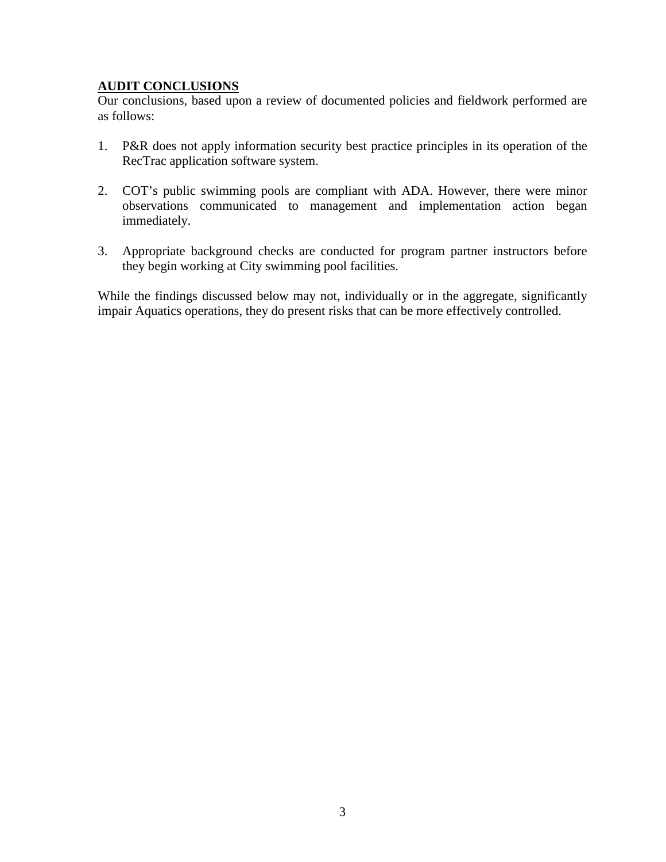# **AUDIT CONCLUSIONS**

Our conclusions, based upon a review of documented policies and fieldwork performed are as follows:

- 1. P&R does not apply information security best practice principles in its operation of the RecTrac application software system.
- 2. COT's public swimming pools are compliant with ADA. However, there were minor observations communicated to management and implementation action began immediately.
- 3. Appropriate background checks are conducted for program partner instructors before they begin working at City swimming pool facilities.

While the findings discussed below may not, individually or in the aggregate, significantly impair Aquatics operations, they do present risks that can be more effectively controlled.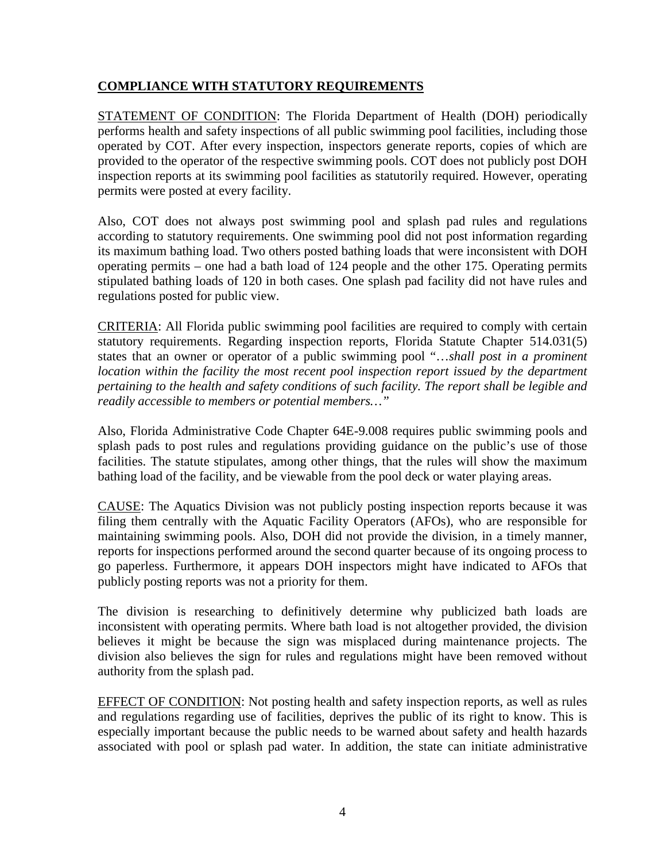# **COMPLIANCE WITH STATUTORY REQUIREMENTS**

STATEMENT OF CONDITION: The Florida Department of Health (DOH) periodically performs health and safety inspections of all public swimming pool facilities, including those operated by COT. After every inspection, inspectors generate reports, copies of which are provided to the operator of the respective swimming pools. COT does not publicly post DOH inspection reports at its swimming pool facilities as statutorily required. However, operating permits were posted at every facility.

Also, COT does not always post swimming pool and splash pad rules and regulations according to statutory requirements. One swimming pool did not post information regarding its maximum bathing load. Two others posted bathing loads that were inconsistent with DOH operating permits – one had a bath load of 124 people and the other 175. Operating permits stipulated bathing loads of 120 in both cases. One splash pad facility did not have rules and regulations posted for public view.

CRITERIA: All Florida public swimming pool facilities are required to comply with certain statutory requirements. Regarding inspection reports, Florida Statute Chapter 514.031(5) states that an owner or operator of a public swimming pool "…*shall post in a prominent location within the facility the most recent pool inspection report issued by the department pertaining to the health and safety conditions of such facility. The report shall be legible and readily accessible to members or potential members…"*

Also, Florida Administrative Code Chapter 64E-9.008 requires public swimming pools and splash pads to post rules and regulations providing guidance on the public's use of those facilities. The statute stipulates, among other things, that the rules will show the maximum bathing load of the facility, and be viewable from the pool deck or water playing areas.

CAUSE: The Aquatics Division was not publicly posting inspection reports because it was filing them centrally with the Aquatic Facility Operators (AFOs), who are responsible for maintaining swimming pools. Also, DOH did not provide the division, in a timely manner, reports for inspections performed around the second quarter because of its ongoing process to go paperless. Furthermore, it appears DOH inspectors might have indicated to AFOs that publicly posting reports was not a priority for them.

The division is researching to definitively determine why publicized bath loads are inconsistent with operating permits. Where bath load is not altogether provided, the division believes it might be because the sign was misplaced during maintenance projects. The division also believes the sign for rules and regulations might have been removed without authority from the splash pad.

EFFECT OF CONDITION: Not posting health and safety inspection reports, as well as rules and regulations regarding use of facilities, deprives the public of its right to know. This is especially important because the public needs to be warned about safety and health hazards associated with pool or splash pad water. In addition, the state can initiate administrative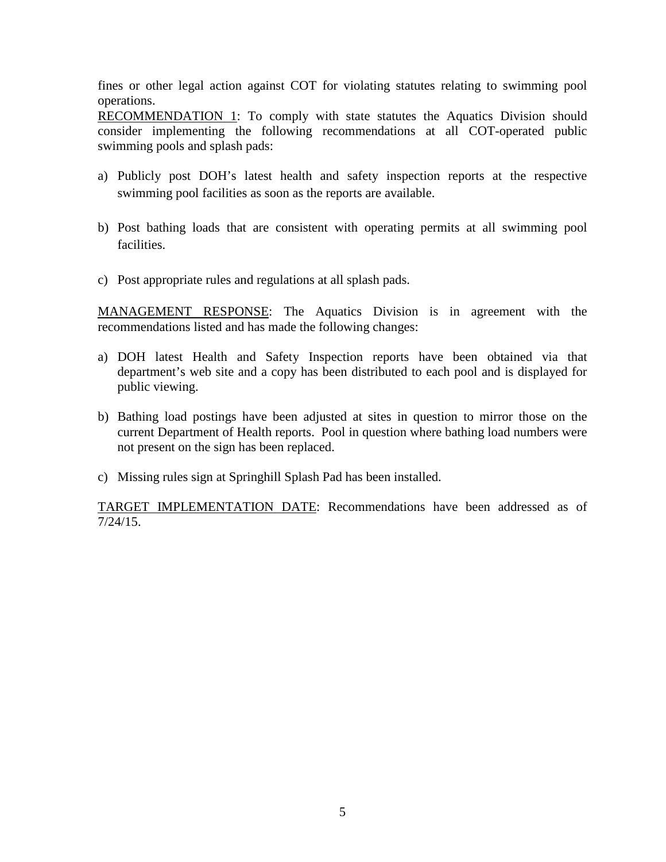fines or other legal action against COT for violating statutes relating to swimming pool operations.

RECOMMENDATION 1: To comply with state statutes the Aquatics Division should consider implementing the following recommendations at all COT-operated public swimming pools and splash pads:

- a) Publicly post DOH's latest health and safety inspection reports at the respective swimming pool facilities as soon as the reports are available.
- b) Post bathing loads that are consistent with operating permits at all swimming pool facilities.
- c) Post appropriate rules and regulations at all splash pads.

MANAGEMENT RESPONSE: The Aquatics Division is in agreement with the recommendations listed and has made the following changes:

- a) DOH latest Health and Safety Inspection reports have been obtained via that department's web site and a copy has been distributed to each pool and is displayed for public viewing.
- b) Bathing load postings have been adjusted at sites in question to mirror those on the current Department of Health reports. Pool in question where bathing load numbers were not present on the sign has been replaced.
- c) Missing rules sign at Springhill Splash Pad has been installed.

TARGET IMPLEMENTATION DATE: Recommendations have been addressed as of 7/24/15.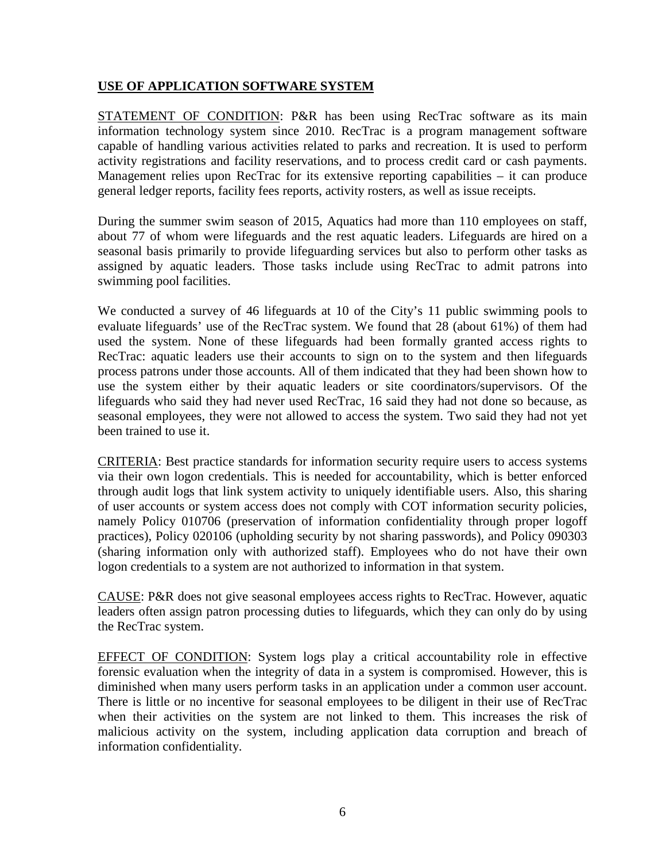#### **USE OF APPLICATION SOFTWARE SYSTEM**

STATEMENT OF CONDITION: P&R has been using RecTrac software as its main information technology system since 2010. RecTrac is a program management software capable of handling various activities related to parks and recreation. It is used to perform activity registrations and facility reservations, and to process credit card or cash payments. Management relies upon RecTrac for its extensive reporting capabilities – it can produce general ledger reports, facility fees reports, activity rosters, as well as issue receipts.

During the summer swim season of 2015, Aquatics had more than 110 employees on staff, about 77 of whom were lifeguards and the rest aquatic leaders. Lifeguards are hired on a seasonal basis primarily to provide lifeguarding services but also to perform other tasks as assigned by aquatic leaders. Those tasks include using RecTrac to admit patrons into swimming pool facilities.

We conducted a survey of 46 lifeguards at 10 of the City's 11 public swimming pools to evaluate lifeguards' use of the RecTrac system. We found that 28 (about 61%) of them had used the system. None of these lifeguards had been formally granted access rights to RecTrac: aquatic leaders use their accounts to sign on to the system and then lifeguards process patrons under those accounts. All of them indicated that they had been shown how to use the system either by their aquatic leaders or site coordinators/supervisors. Of the lifeguards who said they had never used RecTrac, 16 said they had not done so because, as seasonal employees, they were not allowed to access the system. Two said they had not yet been trained to use it.

CRITERIA: Best practice standards for information security require users to access systems via their own logon credentials. This is needed for accountability, which is better enforced through audit logs that link system activity to uniquely identifiable users. Also, this sharing of user accounts or system access does not comply with COT information security policies, namely Policy 010706 (preservation of information confidentiality through proper logoff practices), Policy 020106 (upholding security by not sharing passwords), and Policy 090303 (sharing information only with authorized staff). Employees who do not have their own logon credentials to a system are not authorized to information in that system.

CAUSE: P&R does not give seasonal employees access rights to RecTrac. However, aquatic leaders often assign patron processing duties to lifeguards, which they can only do by using the RecTrac system.

EFFECT OF CONDITION: System logs play a critical accountability role in effective forensic evaluation when the integrity of data in a system is compromised. However, this is diminished when many users perform tasks in an application under a common user account. There is little or no incentive for seasonal employees to be diligent in their use of RecTrac when their activities on the system are not linked to them. This increases the risk of malicious activity on the system, including application data corruption and breach of information confidentiality.